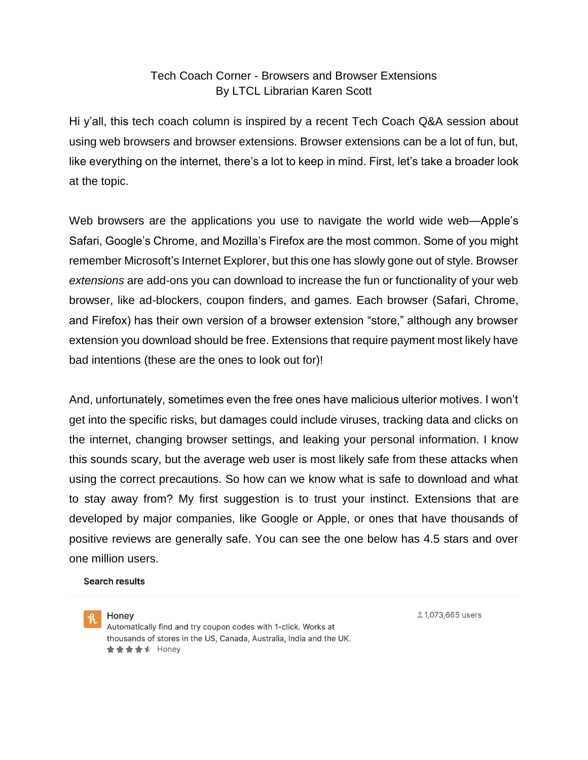## Tech Coach Corner - Browsers and Browser Extensions By LTCL Librarian Karen Scott

Hi y'all, this tech coach column is inspired by a recent Tech Coach Q&A session about using web browsers and browser extensions. Browser extensions can be a lot of fun, but, like everything on the internet, there's a lot to keep in mind. First, let's take a broader look at the topic.

Web browsers are the applications you use to navigate the world wide web—Apple's Safari, Google's Chrome, and Mozilla's Firefox are the most common. Some of you might remember Microsoft's Internet Explorer, but this one has slowly gone out of style. Browser *extensions* are add-ons you can download to increase the fun or functionality of your web browser, like ad-blockers, coupon finders, and games. Each browser (Safari, Chrome, and Firefox) has their own version of a browser extension "store," although any browser extension you download should be free. Extensions that require payment most likely have bad intentions (these are the ones to look out for)!

And, unfortunately, sometimes even the free ones have malicious ulterior motives. I won't get into the specific risks, but damages could include viruses, tracking data and clicks on the internet, changing browser settings, and leaking your personal information. I know this sounds scary, but the average web user is most likely safe from these attacks when using the correct precautions. So how can we know what is safe to download and what to stay away from? My first suggestion is to trust your instinct. Extensions that are developed by major companies, like Google or Apple, or ones that have thousands of positive reviews are generally safe. You can see the one below has 4.5 stars and over one million users.

**Search results** 



Honey Automatically find and try coupon codes with 1-click. Works at thousands of stores in the US, Canada, Australia, India and the UK. ★★★★ dr Honey

21,073,665 users